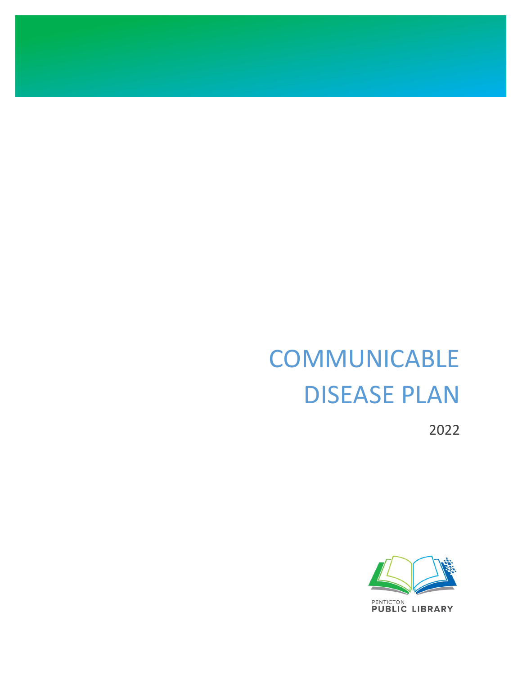# **COMMUNICABLE** DISEASE PLAN

2022

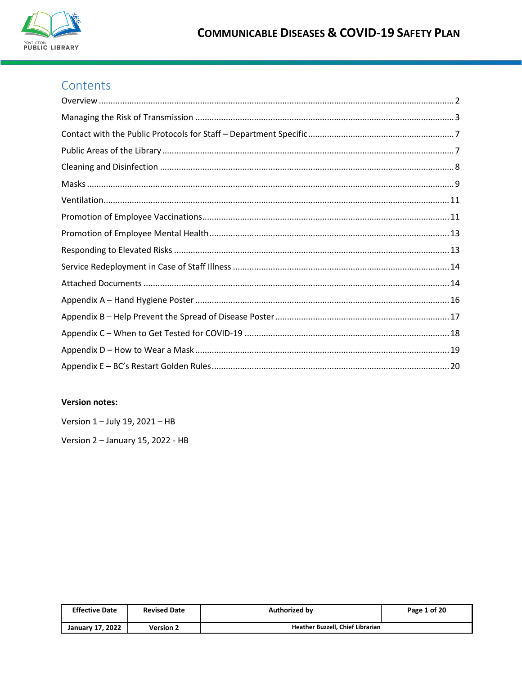

## Contents

## **Version notes:**

Version 1 - July 19, 2021 - HB

Version 2 - January 15, 2022 - HB

| <b>Effective Date</b>   | <b>Revised Date</b> | <b>Authorized by</b>             | Page 1 of 20 |
|-------------------------|---------------------|----------------------------------|--------------|
| <b>January 17, 2022</b> | <b>Version 2</b>    | Heather Buzzell, Chief Librarian |              |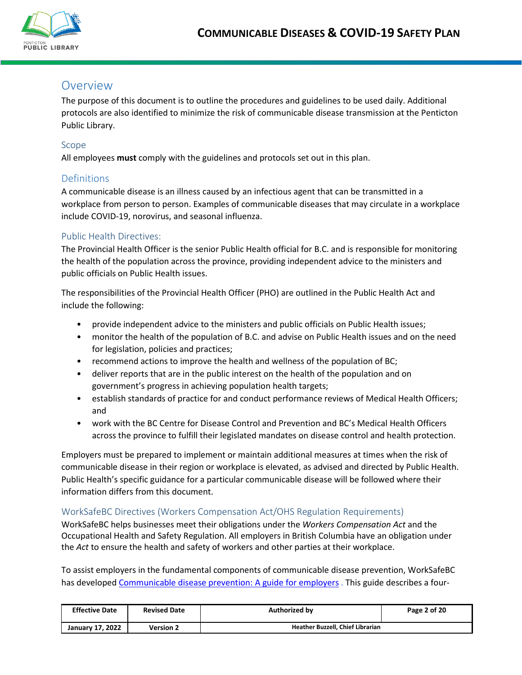

## <span id="page-2-0"></span>Overview

The purpose of this document is to outline the procedures and guidelines to be used daily. Additional protocols are also identified to minimize the risk of communicable disease transmission at the Penticton Public Library.

## Scope

All employees **must** comply with the guidelines and protocols set out in this plan.

## **Definitions**

A communicable disease is an illness caused by an infectious agent that can be transmitted in a workplace from person to person. Examples of communicable diseases that may circulate in a workplace include COVID-19, norovirus, and seasonal influenza.

## Public Health Directives:

The Provincial Health Officer is the senior Public Health official for B.C. and is responsible for monitoring the health of the population across the province, providing independent advice to the ministers and public officials on Public Health issues.

The responsibilities of the Provincial Health Officer (PHO) are outlined in the Public Health Act and include the following:

- provide independent advice to the ministers and public officials on Public Health issues;
- monitor the health of the population of B.C. and advise on Public Health issues and on the need for legislation, policies and practices;
- recommend actions to improve the health and wellness of the population of BC;
- deliver reports that are in the public interest on the health of the population and on government's progress in achieving population health targets;
- establish standards of practice for and conduct performance reviews of Medical Health Officers; and
- work with the BC Centre for Disease Control and Prevention and BC's Medical Health Officers across the province to fulfill their legislated mandates on disease control and health protection.

Employers must be prepared to implement or maintain additional measures at times when the risk of communicable disease in their region or workplace is elevated, as advised and directed by Public Health. Public Health's specific guidance for a particular communicable disease will be followed where their information differs from this document.

## WorkSafeBC Directives (Workers Compensation Act/OHS Regulation Requirements)

WorkSafeBC helps businesses meet their obligations under the *Workers Compensation Act* and the Occupational Health and Safety Regulation. All employers in British Columbia have an obligation under the *Act* to ensure the health and safety of workers and other parties at their workplace.

To assist employers in the fundamental components of communicable disease prevention, WorkSafeBC has develope[d Communicable disease prevention: A guide for employers](https://www.worksafebc.com/en/resources/health-safety/books-guides/communicable-disease-prevention-guide-employers) . This guide describes a four-

| <b>Effective Date</b> | <b>Revised Date</b> | <b>Authorized by</b>             | Page 2 of 20 |
|-----------------------|---------------------|----------------------------------|--------------|
| January 17, 2022      | Version 2           | Heather Buzzell, Chief Librarian |              |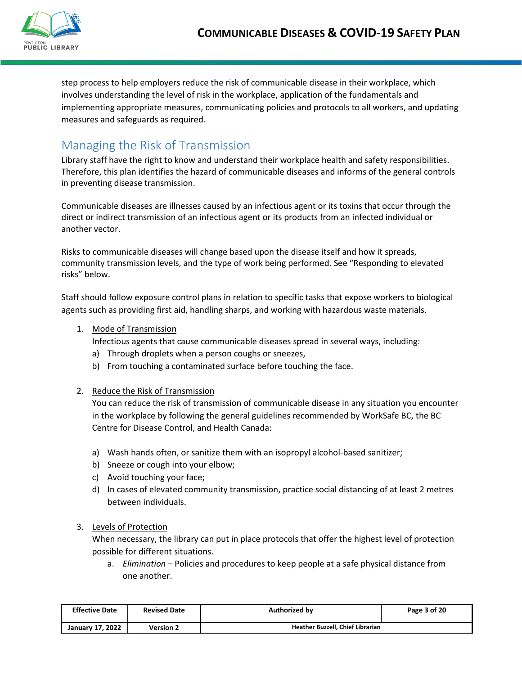

step process to help employers reduce the risk of communicable disease in their workplace, which involves understanding the level of risk in the workplace, application of the fundamentals and implementing appropriate measures, communicating policies and protocols to all workers, and updating measures and safeguards as required.

## <span id="page-3-0"></span>Managing the Risk of Transmission

Library staff have the right to know and understand their workplace health and safety responsibilities. Therefore, this plan identifies the hazard of communicable diseases and informs of the general controls in preventing disease transmission.

Communicable diseases are illnesses caused by an infectious agent or its toxins that occur through the direct or indirect transmission of an infectious agent or its products from an infected individual or another vector.

Risks to communicable diseases will change based upon the disease itself and how it spreads, community transmission levels, and the type of work being performed. See "Responding to elevated risks" below.

Staff should follow exposure control plans in relation to specific tasks that expose workers to biological agents such as providing first aid, handling sharps, and working with hazardous waste materials.

1. Mode of Transmission

Infectious agents that cause communicable diseases spread in several ways, including:

- a) Through droplets when a person coughs or sneezes,
- b) From touching a contaminated surface before touching the face.
- 2. Reduce the Risk of Transmission

You can reduce the risk of transmission of communicable disease in any situation you encounter in the workplace by following the general guidelines recommended by WorkSafe BC, the BC Centre for Disease Control, and Health Canada:

- a) Wash hands often, or sanitize them with an isopropyl alcohol-based sanitizer;
- b) Sneeze or cough into your elbow;
- c) Avoid touching your face;
- d) In cases of elevated community transmission, practice social distancing of at least 2 metres between individuals.

## 3. Levels of Protection

When necessary, the library can put in place protocols that offer the highest level of protection possible for different situations.

a. *Elimination* – Policies and procedures to keep people at a safe physical distance from one another.

| <b>Effective Date</b> | <b>Revised Date</b> | Authorized by                    | Page 3 of 20 |
|-----------------------|---------------------|----------------------------------|--------------|
| January 17, 2022      | <b>Version 2</b>    | Heather Buzzell, Chief Librarian |              |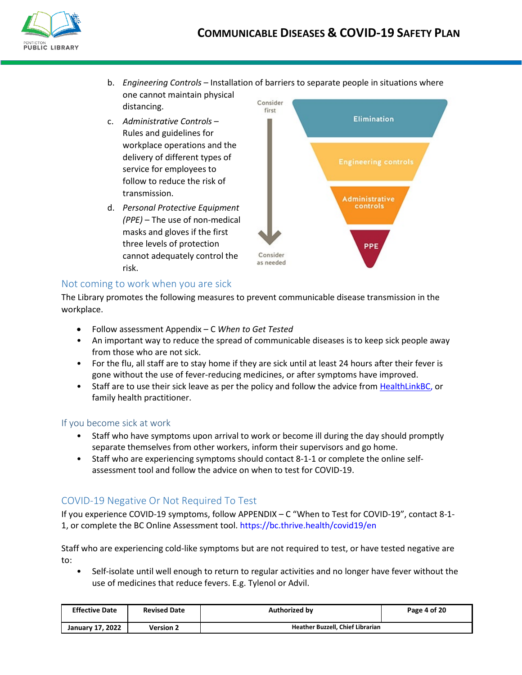

- b. *Engineering Controls* Installation of barriers to separate people in situations where one cannot maintain physical Consider distancing.
- c. *Administrative Controls* Rules and guidelines for workplace operations and the delivery of different types of service for employees to follow to reduce the risk of transmission.
- d. *Personal Protective Equipment (PPE)* – The use of non-medical masks and gloves if the first three levels of protection cannot adequately control the risk.



## Not coming to work when you are sick

The Library promotes the following measures to prevent communicable disease transmission in the workplace.

- Follow assessment Appendix C *When to Get Tested*
- An important way to reduce the spread of communicable diseases is to keep sick people away from those who are not sick.
- For the flu, all staff are to stay home if they are sick until at least 24 hours after their fever is gone without the use of fever-reducing medicines, or after symptoms have improved.
- Staff are to use their sick leave as per the policy and follow the advice fro[m HealthLinkBC,](https://www.healthlinkbc.ca/) or family health practitioner.

## If you become sick at work

- Staff who have symptoms upon arrival to work or become ill during the day should promptly separate themselves from other workers, inform their supervisors and go home.
- Staff who are experiencing symptoms should contact 8-1-1 or complete the online selfassessment tool and follow the advice on when to test for COVID-19.

## COVID-19 Negative Or Not Required To Test

If you experience COVID-19 symptoms, follow APPENDIX – C "When to Test for COVID-19", contact 8-1- 1, or complete the BC Online Assessment tool. https://bc.thrive.health/covid19/en

Staff who are experiencing cold-like symptoms but are not required to test, or have tested negative are to:

• Self-isolate until well enough to return to regular activities and no longer have fever without the use of medicines that reduce fevers. E.g. Tylenol or Advil.

| <b>Effective Date</b> | <b>Revised Date</b> | Authorized by                    | Page 4 of 20 |
|-----------------------|---------------------|----------------------------------|--------------|
| January 17, 2022      | Version 2           | Heather Buzzell, Chief Librarian |              |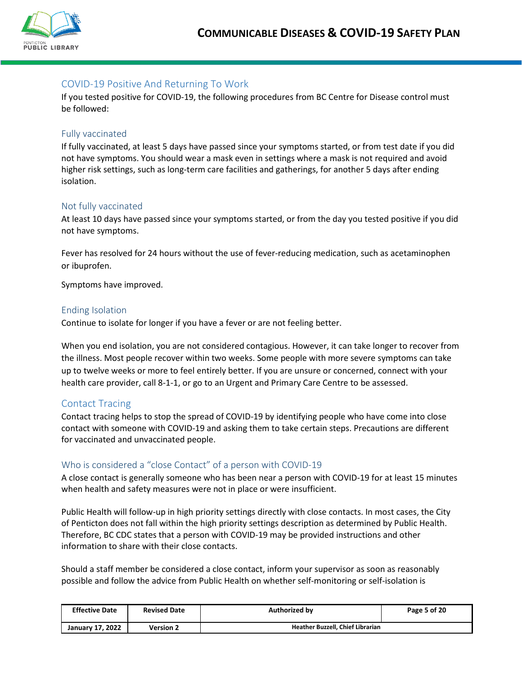

## COVID-19 Positive And Returning To Work

If you tested positive for COVID-19, the following procedures from BC Centre for Disease control must be followed:

#### Fully vaccinated

If fully vaccinated, at least 5 days have passed since your symptoms started, or from test date if you did not have symptoms. You should wear a mask even in settings where a mask is not required and avoid higher risk settings, such as long-term care facilities and gatherings, for another 5 days after ending isolation.

#### Not fully vaccinated

At least 10 days have passed since your symptoms started, or from the day you tested positive if you did not have symptoms.

Fever has resolved for 24 hours without the use of fever-reducing medication, such as acetaminophen or ibuprofen.

Symptoms have improved.

#### Ending Isolation

Continue to isolate for longer if you have a fever or are not feeling better.

When you end isolation, you are not considered contagious. However, it can take longer to recover from the illness. Most people recover within two weeks. Some people with more severe symptoms can take up to twelve weeks or more to feel entirely better. If you are unsure or concerned, connect with your health care provider, call 8-1-1, or go to an Urgent and Primary Care Centre to be assessed.

#### Contact Tracing

Contact tracing helps to stop the spread of COVID-19 by identifying people who have come into close contact with someone with COVID-19 and asking them to take certain steps. Precautions are different for vaccinated and unvaccinated people.

#### Who is considered a "close Contact" of a person with COVID-19

A close contact is generally someone who has been near a person with COVID-19 for at least 15 minutes when health and safety measures were not in place or were insufficient.

Public Health will follow-up in high priority settings directly with close contacts. In most cases, the City of Penticton does not fall within the high priority settings description as determined by Public Health. Therefore, BC CDC states that a person with COVID-19 may be provided instructions and other information to share with their close contacts.

Should a staff member be considered a close contact, inform your supervisor as soon as reasonably possible and follow the advice from Public Health on whether self-monitoring or self-isolation is

| <b>Effective Date</b> | <b>Revised Date</b> | <b>Authorized by</b>             | Page 5 of 20 |
|-----------------------|---------------------|----------------------------------|--------------|
| January 17, 2022      | <b>Version 2</b>    | Heather Buzzell, Chief Librarian |              |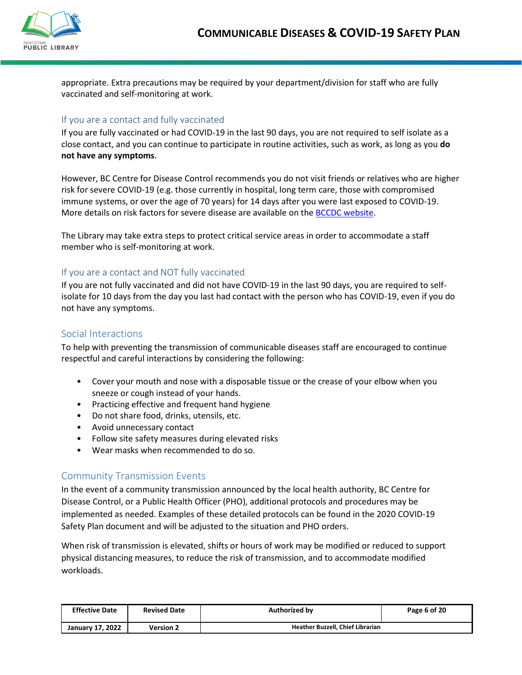

appropriate. Extra precautions may be required by your department/division for staff who are fully vaccinated and self-monitoring at work.

## If you are a contact and fully vaccinated

If you are fully vaccinated or had COVID-19 in the last 90 days, you are not required to self isolate as a close contact, and you can continue to participate in routine activities, such as work, as long as you **do not have any symptoms**.

However, BC Centre for Disease Control recommends you do not visit friends or relatives who are higher risk for severe COVID-19 (e.g. those currently in hospital, long term care, those with compromised immune systems, or over the age of 70 years) for 14 days after you were last exposed to COVID-19. More details on risk factors for severe disease are available on the [BCCDC website.](http://www.bccdc.ca/health-professionals/clinical-resources/covid-19-care/clinical-care/risk-factors-severe-covid-19-disease)

The Library may take extra steps to protect critical service areas in order to accommodate a staff member who is self-monitoring at work.

## If you are a contact and NOT fully vaccinated

If you are not fully vaccinated and did not have COVID-19 in the last 90 days, you are required to selfisolate for 10 days from the day you last had contact with the person who has COVID-19, even if you do not have any symptoms.

## Social Interactions

To help with preventing the transmission of communicable diseases staff are encouraged to continue respectful and careful interactions by considering the following:

- Cover your mouth and nose with a disposable tissue or the crease of your elbow when you sneeze or cough instead of your hands.
- Practicing effective and frequent hand hygiene
- Do not share food, drinks, utensils, etc.
- Avoid unnecessary contact
- Follow site safety measures during elevated risks
- Wear masks when recommended to do so.

## Community Transmission Events

In the event of a community transmission announced by the local health authority, BC Centre for Disease Control, or a Public Health Officer (PHO), additional protocols and procedures may be implemented as needed. Examples of these detailed protocols can be found in the 2020 COVID-19 Safety Plan document and will be adjusted to the situation and PHO orders.

When risk of transmission is elevated, shifts or hours of work may be modified or reduced to support physical distancing measures, to reduce the risk of transmission, and to accommodate modified workloads.

| <b>Effective Date</b>   | <b>Revised Date</b> | <b>Authorized by</b>             | Page 6 of 20 |
|-------------------------|---------------------|----------------------------------|--------------|
| <b>January 17, 2022</b> | <b>Version 2</b>    | Heather Buzzell, Chief Librarian |              |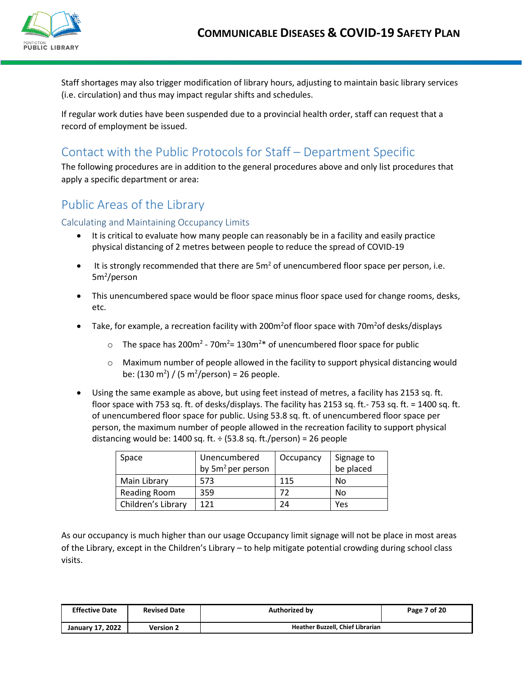

Staff shortages may also trigger modification of library hours, adjusting to maintain basic library services (i.e. circulation) and thus may impact regular shifts and schedules.

If regular work duties have been suspended due to a provincial health order, staff can request that a record of employment be issued.

## <span id="page-7-0"></span>Contact with the Public Protocols for Staff – Department Specific

The following procedures are in addition to the general procedures above and only list procedures that apply a specific department or area:

## <span id="page-7-1"></span>Public Areas of the Library

Calculating and Maintaining Occupancy Limits

- It is critical to evaluate how many people can reasonably be in a facility and easily practice physical distancing of 2 metres between people to reduce the spread of COVID-19
- $\bullet$  It is strongly recommended that there are 5m<sup>2</sup> of unencumbered floor space per person, i.e. 5m<sup>2</sup>/person
- This unencumbered space would be floor space minus floor space used for change rooms, desks, etc.
- Take, for example, a recreation facility with 200m<sup>2</sup> of floor space with 70m<sup>2</sup> of desks/displays
	- $\circ$  The space has 200m<sup>2</sup> 70m<sup>2</sup>= 130m<sup>2\*</sup> of unencumbered floor space for public
	- o Maximum number of people allowed in the facility to support physical distancing would be:  $(130 \text{ m}^2) / (5 \text{ m}^2/\text{person}) = 26 \text{ people}.$
- Using the same example as above, but using feet instead of metres, a facility has 2153 sq. ft. floor space with 753 sq. ft. of desks/displays. The facility has 2153 sq. ft.- 753 sq. ft. = 1400 sq. ft. of unencumbered floor space for public. Using 53.8 sq. ft. of unencumbered floor space per person, the maximum number of people allowed in the recreation facility to support physical distancing would be: 1400 sq. ft.  $\div$  (53.8 sq. ft./person) = 26 people

| Space              | Unencumbered<br>by $5m^2$ per person | Occupancy | Signage to<br>be placed |
|--------------------|--------------------------------------|-----------|-------------------------|
| Main Library       | 573                                  | 115       | No                      |
| Reading Room       | 359                                  |           | No                      |
| Children's Library | 171                                  | 24        | Yes                     |

As our occupancy is much higher than our usage Occupancy limit signage will not be place in most areas of the Library, except in the Children's Library – to help mitigate potential crowding during school class visits.

| <b>Effective Date</b>   | <b>Revised Date</b> | <b>Authorized by</b>             | Page 7 of 20 |
|-------------------------|---------------------|----------------------------------|--------------|
| <b>January 17, 2022</b> | Version 2           | Heather Buzzell, Chief Librarian |              |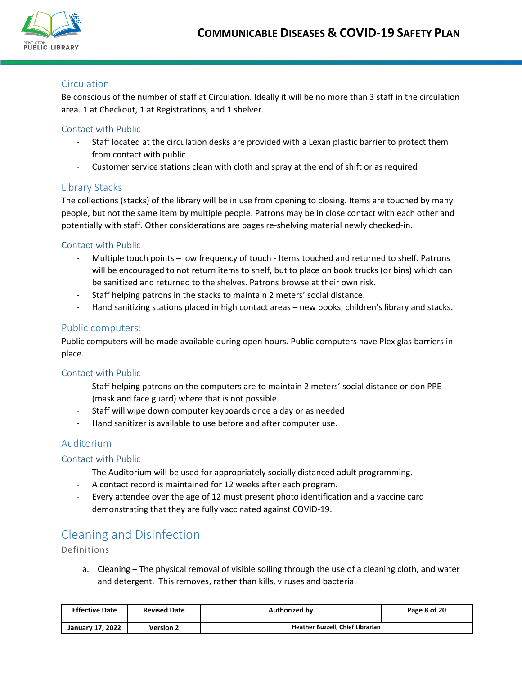

## **Circulation**

Be conscious of the number of staff at Circulation. Ideally it will be no more than 3 staff in the circulation area. 1 at Checkout, 1 at Registrations, and 1 shelver.

#### Contact with Public

- Staff located at the circulation desks are provided with a Lexan plastic barrier to protect them from contact with public
- Customer service stations clean with cloth and spray at the end of shift or as required

## Library Stacks

The collections (stacks) of the library will be in use from opening to closing. Items are touched by many people, but not the same item by multiple people. Patrons may be in close contact with each other and potentially with staff. Other considerations are pages re-shelving material newly checked-in.

#### Contact with Public

- Multiple touch points low frequency of touch Items touched and returned to shelf. Patrons will be encouraged to not return items to shelf, but to place on book trucks (or bins) which can be sanitized and returned to the shelves. Patrons browse at their own risk.
- Staff helping patrons in the stacks to maintain 2 meters' social distance.
- Hand sanitizing stations placed in high contact areas new books, children's library and stacks.

#### Public computers:

Public computers will be made available during open hours. Public computers have Plexiglas barriers in place.

#### Contact with Public

- Staff helping patrons on the computers are to maintain 2 meters' social distance or don PPE (mask and face guard) where that is not possible.
- Staff will wipe down computer keyboards once a day or as needed
- Hand sanitizer is available to use before and after computer use.

## Auditorium

## Contact with Public

- The Auditorium will be used for appropriately socially distanced adult programming.
- A contact record is maintained for 12 weeks after each program.
- Every attendee over the age of 12 must present photo identification and a vaccine card demonstrating that they are fully vaccinated against COVID-19.

## <span id="page-8-0"></span>Cleaning and Disinfection

Definitions

a. Cleaning – The physical removal of visible soiling through the use of a cleaning cloth, and water and detergent. This removes, rather than kills, viruses and bacteria.

| <b>Effective Date</b>   | <b>Revised Date</b> | <b>Authorized by</b>             | Page 8 of 20 |
|-------------------------|---------------------|----------------------------------|--------------|
| <b>January 17, 2022</b> | <b>Version 2</b>    | Heather Buzzell, Chief Librarian |              |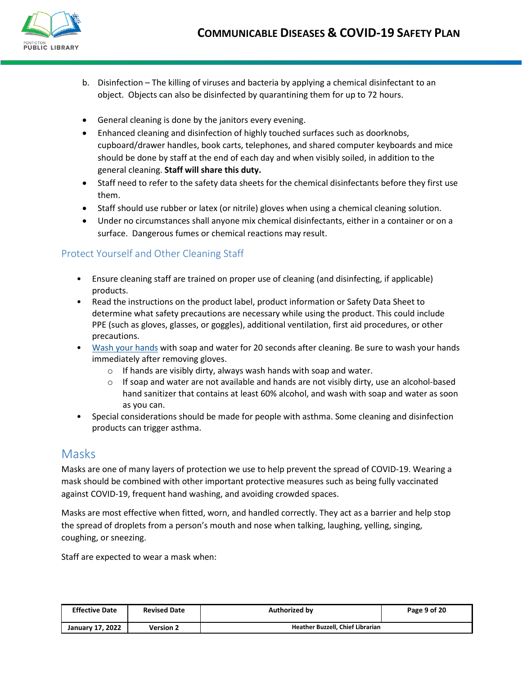

- b. Disinfection The killing of viruses and bacteria by applying a chemical disinfectant to an object. Objects can also be disinfected by quarantining them for up to 72 hours.
- General cleaning is done by the janitors every evening.
- Enhanced cleaning and disinfection of highly touched surfaces such as doorknobs, cupboard/drawer handles, book carts, telephones, and shared computer keyboards and mice should be done by staff at the end of each day and when visibly soiled, in addition to the general cleaning. **Staff will share this duty.**
- Staff need to refer to the safety data sheets for the chemical disinfectants before they first use them.
- Staff should use rubber or latex (or nitrile) gloves when using a chemical cleaning solution.
- Under no circumstances shall anyone mix chemical disinfectants, either in a container or on a surface. Dangerous fumes or chemical reactions may result.

## Protect Yourself and Other Cleaning Staff

- Ensure cleaning staff are trained on proper use of cleaning (and disinfecting, if applicable) products.
- Read the instructions on the product label, product information or Safety Data Sheet to determine what safety precautions are necessary while using the product. This could include PPE (such as gloves, glasses, or goggles), additional ventilation, first aid procedures, or other precautions.
- [Wash your hands](https://www.cdc.gov/handwashing/when-how-handwashing.html) with soap and water for 20 seconds after cleaning. Be sure to wash your hands immediately after removing gloves.
	- $\circ$  If hands are visibly dirty, always wash hands with soap and water.
	- $\circ$  If soap and water are not available and hands are not visibly dirty, use an alcohol-based hand sanitizer that contains at least 60% alcohol, and wash with soap and water as soon as you can.
- Special considerations should be made for people with asthma. Some cleaning and disinfection products can trigger asthma.

## <span id="page-9-0"></span>Masks

Masks are one of many layers of protection we use to help prevent the spread of COVID-19. Wearing a mask should be combined with other important protective measures such as being fully vaccinated against COVID-19, frequent hand washing, and avoiding crowded spaces.

Masks are most effective when fitted, worn, and handled correctly. They act as a barrier and help stop the spread of droplets from a person's mouth and nose when talking, laughing, yelling, singing, coughing, or sneezing.

Staff are expected to wear a mask when:

| <b>Effective Date</b> | <b>Revised Date</b> | Authorized by                    | Page 9 of 20 |
|-----------------------|---------------------|----------------------------------|--------------|
| January 17, 2022      | <b>Version 2</b>    | Heather Buzzell, Chief Librarian |              |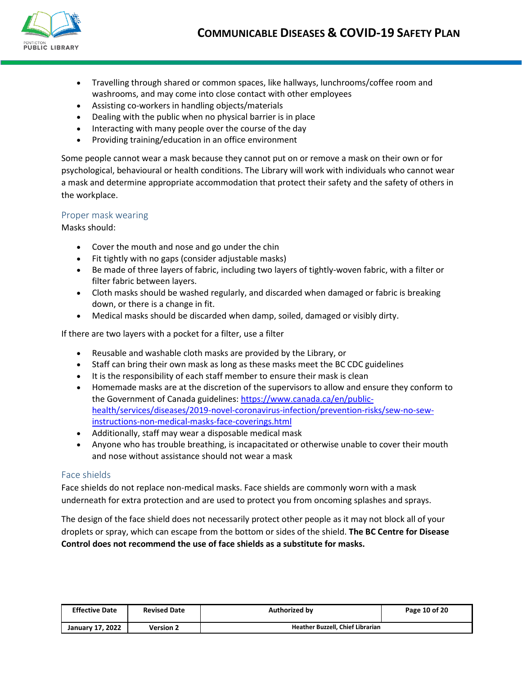

- Travelling through shared or common spaces, like hallways, lunchrooms/coffee room and washrooms, and may come into close contact with other employees
- Assisting co-workers in handling objects/materials
- Dealing with the public when no physical barrier is in place
- Interacting with many people over the course of the day
- Providing training/education in an office environment

Some people cannot wear a mask because they cannot put on or remove a mask on their own or for psychological, behavioural or health conditions. The Library will work with individuals who cannot wear a mask and determine appropriate accommodation that protect their safety and the safety of others in the workplace.

#### Proper mask wearing

Masks should:

- Cover the mouth and nose and go under the chin
- Fit tightly with no gaps (consider adjustable masks)
- Be made of three layers of fabric, including two layers of tightly-woven fabric, with a filter or filter fabric between layers.
- Cloth masks should be washed regularly, and discarded when damaged or fabric is breaking down, or there is a change in fit.
- Medical masks should be discarded when damp, soiled, damaged or visibly dirty.

If there are two layers with a pocket for a filter, use a filter

- Reusable and washable cloth masks are provided by the Library, or
- Staff can bring their own mask as long as these masks meet the BC CDC guidelines
- It is the responsibility of each staff member to ensure their mask is clean
- Homemade masks are at the discretion of the supervisors to allow and ensure they conform to the Government of Canada guidelines: [https://www.canada.ca/en/public](https://www.canada.ca/en/public-health/services/diseases/2019-novel-coronavirus-infection/prevention-risks/sew-no-sew-instructions-non-medical-masks-face-coverings.html)[health/services/diseases/2019-novel-coronavirus-infection/prevention-risks/sew-no-sew](https://www.canada.ca/en/public-health/services/diseases/2019-novel-coronavirus-infection/prevention-risks/sew-no-sew-instructions-non-medical-masks-face-coverings.html)[instructions-non-medical-masks-face-coverings.html](https://www.canada.ca/en/public-health/services/diseases/2019-novel-coronavirus-infection/prevention-risks/sew-no-sew-instructions-non-medical-masks-face-coverings.html)
- Additionally, staff may wear a disposable medical mask
- Anyone who has trouble breathing, is incapacitated or otherwise unable to cover their mouth and nose without assistance should not wear a mask

#### Face shields

Face shields do not replace non-medical masks. Face shields are commonly worn with a mask underneath for extra protection and are used to protect you from oncoming splashes and sprays.

The design of the face shield does not necessarily protect other people as it may not block all of your droplets or spray, which can escape from the bottom or sides of the shield. **The BC Centre for Disease Control does not recommend the use of face shields as a substitute for masks.** 

| <b>Effective Date</b>   | <b>Revised Date</b> | <b>Authorized by</b>             | Page 10 of 20 |
|-------------------------|---------------------|----------------------------------|---------------|
| <b>January 17, 2022</b> | <b>Version 2</b>    | Heather Buzzell, Chief Librarian |               |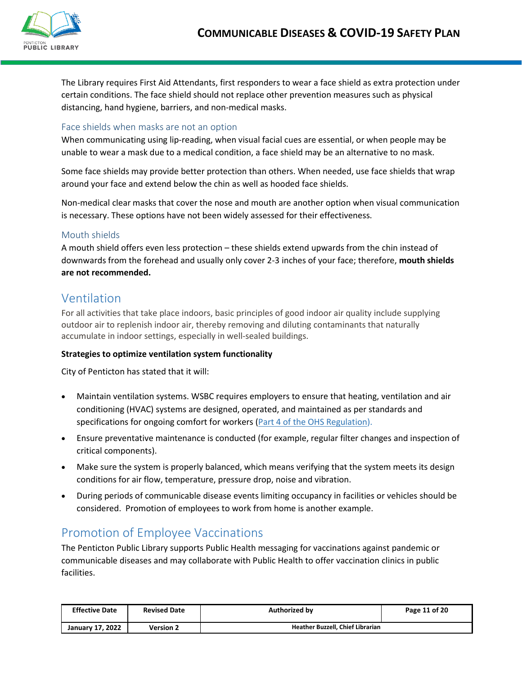

The Library requires First Aid Attendants, first responders to wear a face shield as extra protection under certain conditions. The face shield should not replace other prevention measures such as physical distancing, hand hygiene, barriers, and non-medical masks.

#### Face shields when masks are not an option

When communicating using lip-reading, when visual facial cues are essential, or when people may be unable to wear a mask due to a medical condition, a face shield may be an alternative to no mask.

Some face shields may provide better protection than others. When needed, use face shields that wrap around your face and extend below the chin as well as hooded face shields.

Non-medical clear masks that cover the nose and mouth are another option when visual communication is necessary. These options have not been widely assessed for their effectiveness.

#### Mouth shields

A mouth shield offers even less protection – these shields extend upwards from the chin instead of downwards from the forehead and usually only cover 2-3 inches of your face; therefore, **mouth shields are not recommended.**

## <span id="page-11-0"></span>Ventilation

For all activities that take place indoors, basic principles of good indoor air quality include supplying outdoor air to replenish indoor air, thereby removing and diluting contaminants that naturally accumulate in indoor settings, especially in well-sealed buildings.

#### **Strategies to optimize ventilation system functionality**

City of Penticton has stated that it will:

- Maintain ventilation systems. WSBC requires employers to ensure that heating, ventilation and air conditioning (HVAC) systems are designed, operated, and maintained as per standards and specifications for ongoing comfort for workers [\(Part 4 of the OHS Regulation\)](https://www.worksafebc.com/en/law-policy/occupational-health-safety/searchable-ohs-regulation/ohs-regulation/part-04-general-conditions#SectionNumber:4.70).
- Ensure preventative maintenance is conducted (for example, regular filter changes and inspection of critical components).
- Make sure the system is properly balanced, which means verifying that the system meets its design conditions for air flow, temperature, pressure drop, noise and vibration.
- During periods of communicable disease events limiting occupancy in facilities or vehicles should be considered. Promotion of employees to work from home is another example.

## <span id="page-11-1"></span>Promotion of Employee Vaccinations

The Penticton Public Library supports Public Health messaging for vaccinations against pandemic or communicable diseases and may collaborate with Public Health to offer vaccination clinics in public facilities.

| <b>Effective Date</b> | <b>Revised Date</b> | <b>Authorized by</b>             | Page 11 of 20 |
|-----------------------|---------------------|----------------------------------|---------------|
| January 17, 2022      | <b>Version 2</b>    | Heather Buzzell, Chief Librarian |               |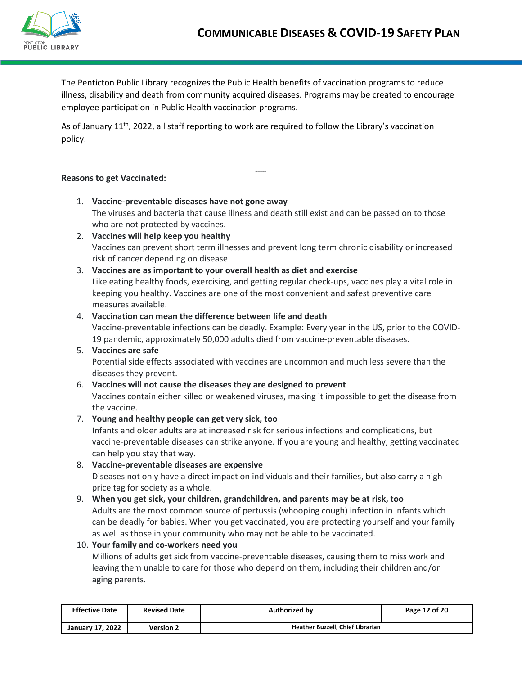

The Penticton Public Library recognizes the Public Health benefits of vaccination programs to reduce illness, disability and death from community acquired diseases. Programs may be created to encourage employee participation in Public Health vaccination programs.

As of January 11<sup>th</sup>, 2022, all staff reporting to work are required to follow the Library's vaccination policy.

#### **Reasons to get Vaccinated:**

- 1. **Vaccine-preventable diseases have not gone away** The viruses and bacteria that cause illness and death still exist and can be passed on to those who are not protected by vaccines.
- 2. **Vaccines will help keep you healthy** Vaccines can prevent short term illnesses and prevent long term chronic disability or increased risk of cancer depending on disease.
- 3. **Vaccines are as important to your overall health as diet and exercise** Like eating healthy foods, exercising, and getting regular check-ups, vaccines play a vital role in keeping you healthy. Vaccines are one of the most convenient and safest preventive care measures available.

## 4. **Vaccination can mean the difference between life and death**

Vaccine-preventable infections can be deadly. Example: Every year in the US, prior to the COVID-19 pandemic, approximately 50,000 adults died from vaccine-preventable diseases.

## 5. **Vaccines are safe**

Potential side effects associated with vaccines are uncommon and much less severe than the diseases they prevent.

#### 6. **Vaccines will not cause the diseases they are designed to prevent**

Vaccines contain either killed or weakened viruses, making it impossible to get the disease from the vaccine.

#### 7. **Young and healthy people can get very sick, too**

Infants and older adults are at increased risk for serious infections and complications, but vaccine-preventable diseases can strike anyone. If you are young and healthy, getting vaccinated can help you stay that way.

8. **Vaccine-preventable diseases are expensive** Diseases not only have a direct impact on individuals and their families, but also carry a high price tag for society as a whole.

#### 9. **When you get sick, your children, grandchildren, and parents may be at risk, too**

Adults are the most common source of pertussis (whooping cough) infection in infants which can be deadly for babies. When you get vaccinated, you are protecting yourself and your family as well as those in your community who may not be able to be vaccinated.

#### 10. **Your family and co-workers need you**

Millions of adults get sick from vaccine-preventable diseases, causing them to miss work and leaving them unable to care for those who depend on them, including their children and/or aging parents.

| <b>Effective Date</b>   | <b>Revised Date</b> | <b>Authorized by</b>                    | Page 12 of 20 |
|-------------------------|---------------------|-----------------------------------------|---------------|
| <b>January 17, 2022</b> | <b>Version 2</b>    | <b>Heather Buzzell, Chief Librarian</b> |               |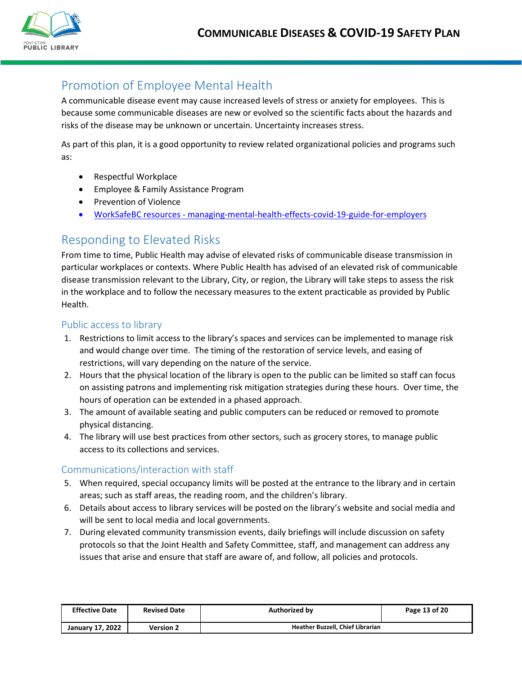

## <span id="page-13-0"></span>Promotion of Employee Mental Health

A communicable disease event may cause increased levels of stress or anxiety for employees. This is because some communicable diseases are new or evolved so the scientific facts about the hazards and risks of the disease may be unknown or uncertain. Uncertainty increases stress.

As part of this plan, it is a good opportunity to review related organizational policies and programs such as:

- Respectful Workplace
- Employee & Family Assistance Program
- Prevention of Violence
- WorkSafeBC resources [managing-mental-health-effects-covid-19-guide-for-employers](https://www.worksafebc.com/en/resources/health-safety/books-guides/managing-mental-health-effects-covid-19-guide-for-employers?lang=en)

## <span id="page-13-1"></span>Responding to Elevated Risks

From time to time, Public Health may advise of elevated risks of communicable disease transmission in particular workplaces or contexts. Where Public Health has advised of an elevated risk of communicable disease transmission relevant to the Library, City, or region, the Library will take steps to assess the risk in the workplace and to follow the necessary measures to the extent practicable as provided by Public Health.

## Public access to library

- 1. Restrictions to limit access to the library's spaces and services can be implemented to manage risk and would change over time. The timing of the restoration of service levels, and easing of restrictions, will vary depending on the nature of the service.
- 2. Hours that the physical location of the library is open to the public can be limited so staff can focus on assisting patrons and implementing risk mitigation strategies during these hours. Over time, the hours of operation can be extended in a phased approach.
- 3. The amount of available seating and public computers can be reduced or removed to promote physical distancing.
- 4. The library will use best practices from other sectors, such as grocery stores, to manage public access to its collections and services.

## Communications/interaction with staff

- 5. When required, special occupancy limits will be posted at the entrance to the library and in certain areas; such as staff areas, the reading room, and the children's library.
- 6. Details about access to library services will be posted on the library's website and social media and will be sent to local media and local governments.
- 7. During elevated community transmission events, daily briefings will include discussion on safety protocols so that the Joint Health and Safety Committee, staff, and management can address any issues that arise and ensure that staff are aware of, and follow, all policies and protocols.

| <b>Effective Date</b> | <b>Revised Date</b> | Authorized by                           | Page 13 of 20 |
|-----------------------|---------------------|-----------------------------------------|---------------|
| January 17, 2022      | <b>Version 2</b>    | <b>Heather Buzzell, Chief Librarian</b> |               |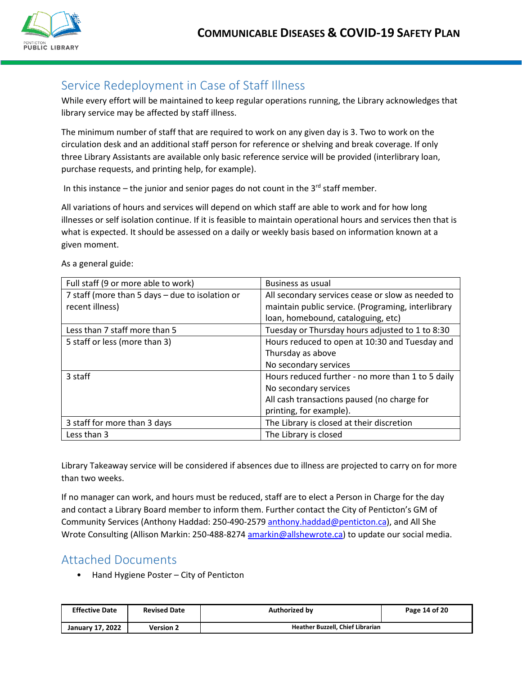

## <span id="page-14-0"></span>Service Redeployment in Case of Staff Illness

While every effort will be maintained to keep regular operations running, the Library acknowledges that library service may be affected by staff illness.

The minimum number of staff that are required to work on any given day is 3. Two to work on the circulation desk and an additional staff person for reference or shelving and break coverage. If only three Library Assistants are available only basic reference service will be provided (interlibrary loan, purchase requests, and printing help, for example).

In this instance – the junior and senior pages do not count in the  $3<sup>rd</sup>$  staff member.

All variations of hours and services will depend on which staff are able to work and for how long illnesses or self isolation continue. If it is feasible to maintain operational hours and services then that is what is expected. It should be assessed on a daily or weekly basis based on information known at a given moment.

| Full staff (9 or more able to work)             | Business as usual                                  |
|-------------------------------------------------|----------------------------------------------------|
| 7 staff (more than 5 days - due to isolation or | All secondary services cease or slow as needed to  |
| recent illness)                                 | maintain public service. (Programing, interlibrary |
|                                                 | loan, homebound, cataloguing, etc)                 |
| Less than 7 staff more than 5                   | Tuesday or Thursday hours adjusted to 1 to 8:30    |
| 5 staff or less (more than 3)                   | Hours reduced to open at 10:30 and Tuesday and     |
|                                                 | Thursday as above                                  |
|                                                 | No secondary services                              |
| 3 staff                                         | Hours reduced further - no more than 1 to 5 daily  |
|                                                 | No secondary services                              |
|                                                 | All cash transactions paused (no charge for        |
|                                                 | printing, for example).                            |
| 3 staff for more than 3 days                    | The Library is closed at their discretion          |
| Less than 3                                     | The Library is closed                              |

As a general guide:

Library Takeaway service will be considered if absences due to illness are projected to carry on for more than two weeks.

If no manager can work, and hours must be reduced, staff are to elect a Person in Charge for the day and contact a Library Board member to inform them. Further contact the City of Penticton's GM of Community Services (Anthony Haddad: 250-490-2579 [anthony.haddad@penticton.ca\)](mailto:anthony.haddad@penticton.ca), and All She Wrote Consulting (Allison Markin: 250-488-8274 [amarkin@allshewrote.ca\)](mailto:amarkin@allshewrote.ca) to update our social media.

## <span id="page-14-1"></span>Attached Documents

• Hand Hygiene Poster – City of Penticton

| <b>Effective Date</b> | <b>Revised Date</b> | Authorized by                    | Page 14 of 20 |
|-----------------------|---------------------|----------------------------------|---------------|
| January 17, 2022      | Version 2           | Heather Buzzell, Chief Librarian |               |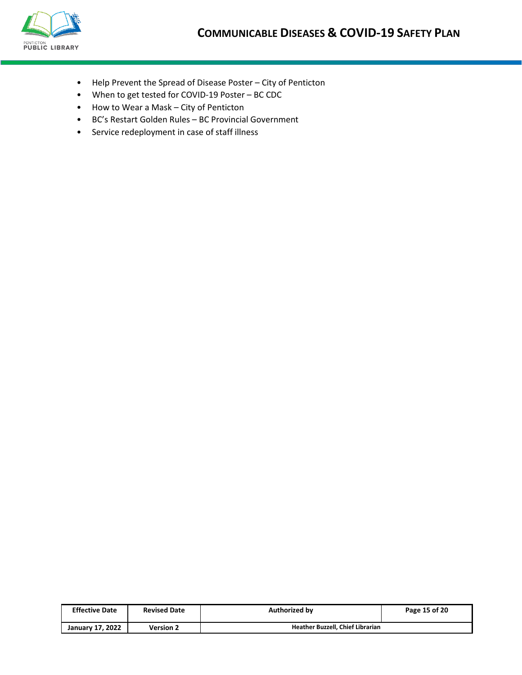

- Help Prevent the Spread of Disease Poster City of Penticton
- When to get tested for COVID-19 Poster BC CDC
- How to Wear a Mask City of Penticton
- BC's Restart Golden Rules BC Provincial Government
- Service redeployment in case of staff illness

| <b>Effective Date</b> | <b>Revised Date</b> | <b>Authorized by</b>                    | Page 15 of 20 |
|-----------------------|---------------------|-----------------------------------------|---------------|
| January 17, 2022      | <b>Version 2</b>    | <b>Heather Buzzell, Chief Librarian</b> |               |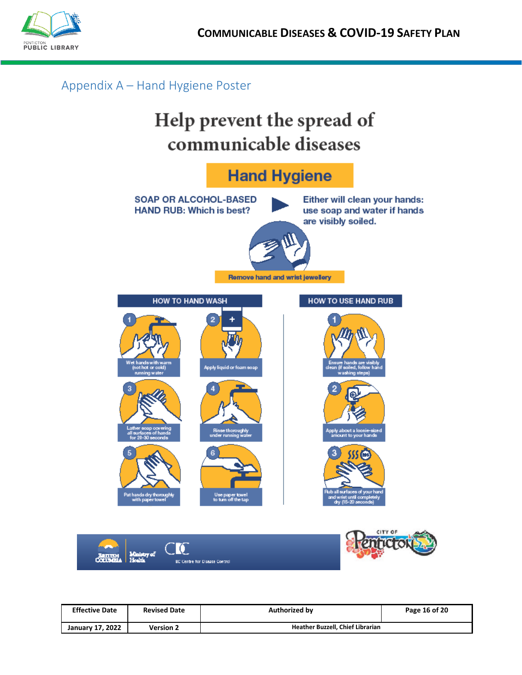

## <span id="page-16-0"></span>Appendix A – Hand Hygiene Poster







| <b>Effective Date</b> | <b>Revised Date</b> | <b>Authorized by</b>             | Page 16 of 20 |
|-----------------------|---------------------|----------------------------------|---------------|
| January 17, 2022      | <b>Version 2</b>    | Heather Buzzell, Chief Librarian |               |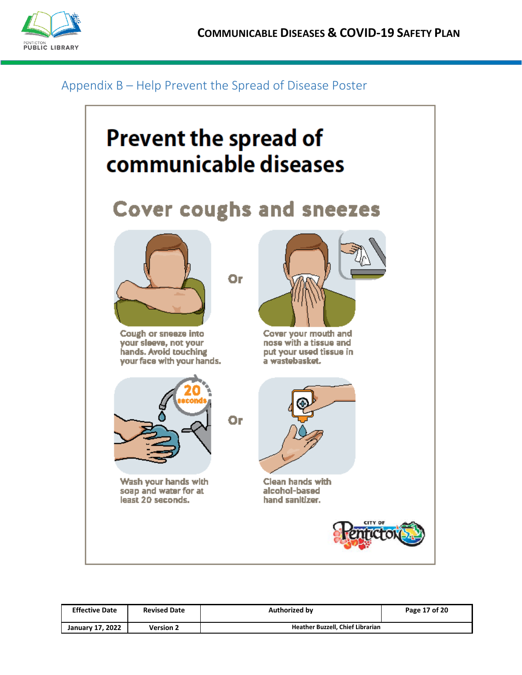

## <span id="page-17-0"></span>Appendix B – Help Prevent the Spread of Disease Poster



| <b>Effective Date</b> | <b>Revised Date</b> | <b>Authorized by</b>             | Page 17 of 20 |
|-----------------------|---------------------|----------------------------------|---------------|
| January 17, 2022      | <b>Version 2</b>    | Heather Buzzell, Chief Librarian |               |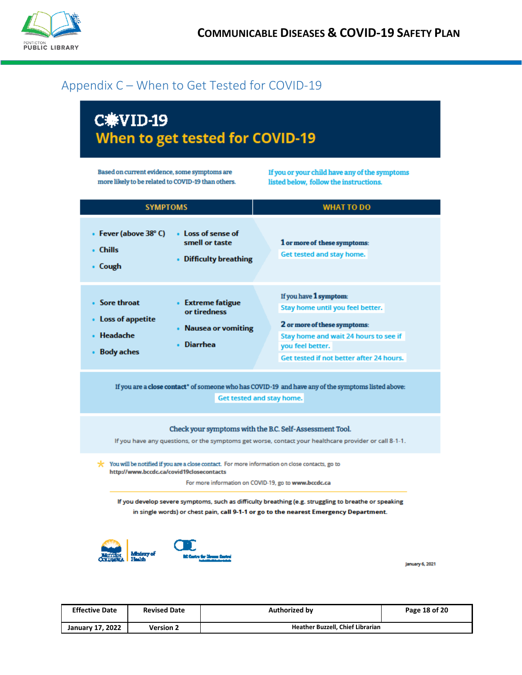

## <span id="page-18-0"></span>Appendix C – When to Get Tested for COVID-19

## C兼VID-19 When to get tested for COVID-19

Based on current evidence, some symptoms are more likely to be related to COVID-19 than others. If you or your child have any of the symptoms listed below, follow the instructions.

| <b>SYMPTOMS</b>                                                                                                                                                                                                                                                                                                                                                                                             | <b>WHAT TO DO</b>                                                                                                                                                                                   |  |  |  |
|-------------------------------------------------------------------------------------------------------------------------------------------------------------------------------------------------------------------------------------------------------------------------------------------------------------------------------------------------------------------------------------------------------------|-----------------------------------------------------------------------------------------------------------------------------------------------------------------------------------------------------|--|--|--|
| • Fever (above 38° C)<br>• Loss of sense of<br>smell or taste<br>• Chills<br>• Difficulty breathing<br>• Cough                                                                                                                                                                                                                                                                                              | 1 or more of these symptoms:<br>Get tested and stay home.                                                                                                                                           |  |  |  |
| • Sore throat<br>• Extreme fatigue<br>or tiredness<br>• Loss of appetite<br>• Nausea or vomiting<br>• Headache<br>• Diarrhea<br>• Body aches                                                                                                                                                                                                                                                                | If you have 1 symptom:<br>Stay home until you feel better.<br>2 or more of these symptoms:<br>Stay home and wait 24 hours to see if<br>you feel better.<br>Get tested if not better after 24 hours. |  |  |  |
| If you are a close contact* of someone who has COVID-19 and have any of the symptoms listed above:<br>Get tested and stay home.                                                                                                                                                                                                                                                                             |                                                                                                                                                                                                     |  |  |  |
|                                                                                                                                                                                                                                                                                                                                                                                                             | Check your symptoms with the B.C. Self-Assessment Tool.<br>If you have any questions, or the symptoms get worse, contact your healthcare provider or call 8-1-1.                                    |  |  |  |
| $\star$ You will be notified if you are a close contact. For more information on close contacts, go to<br>http://www.bccdc.ca/covid19closecontacts<br>For more information on COVID-19, go to www.bccdc.ca<br>If you develop severe symptoms, such as difficulty breathing (e.g. struggling to breathe or speaking<br>in single words) or chest pain, call 9-1-1 or go to the nearest Emergency Department. |                                                                                                                                                                                                     |  |  |  |
| t Castro der Monas Cas                                                                                                                                                                                                                                                                                                                                                                                      |                                                                                                                                                                                                     |  |  |  |

January 6, 2021

| <b>Effective Date</b> | <b>Revised Date</b> | <b>Authorized by</b>             | Page 18 of 20 |
|-----------------------|---------------------|----------------------------------|---------------|
| January 17, 2022      | <b>Version 2</b>    | Heather Buzzell, Chief Librarian |               |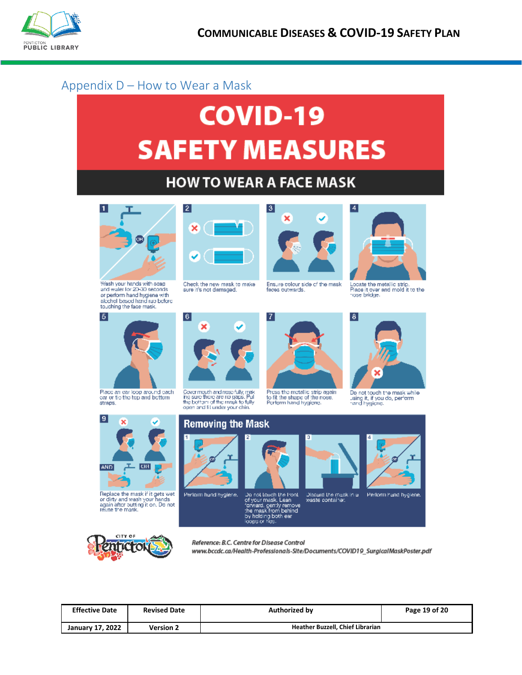

## <span id="page-19-0"></span>Appendix D – How to Wear a Mask

# **COVID-19 SAFETY MEASURES**

## **HOW TO WEAR A FACE MASK**

7



Wash your hands with soap and water for 20-30 seconds or perform hand hygiene with alcohol based hand rub before<br>touching the face mask.



Check the new mask to make sure it's not damaged.

 $\mathbf{6}$ 

×



Ensure colour side of the mask faces outwards.

Press the metallic strip again<br>to fit the shape of the nose.<br>Perform hand hygiene.



Locate the metallic strip.<br>Place it over and mold it to the<br>hose bridge.

 $\vert 8 \vert$ 



Place an earloop around each<br>car or tie the top and bettom<br>straps.



Replace the mask if it gets wet<br>or dirty and wash your hands<br>again after butting it on. Do not<br>reuse the mask.



Perlorm hand hygiene



Do not touch the Front<br>of your mask. Lean<br>forward. genty remove<br>the mask from behind<br>by holding both ear<br>loops or figs.



Discard the mask in all<br>waste container.



Do not touch the mask while<br>using it, if you do, perform<br>hand hygicne.



Perform hand hygiene.



Reference: B.C. Centre for Disease Control www.bccdc.ca/Health-Professionals-Site/Documents/COVID19\_SurgicalMaskPoster.pdf

| <b>Effective Date</b> | <b>Revised Date</b> | <b>Authorized by</b>             | Page 19 of 20 |
|-----------------------|---------------------|----------------------------------|---------------|
| January 17, 2022      | <b>Version 2</b>    | Heather Buzzell, Chief Librarian |               |